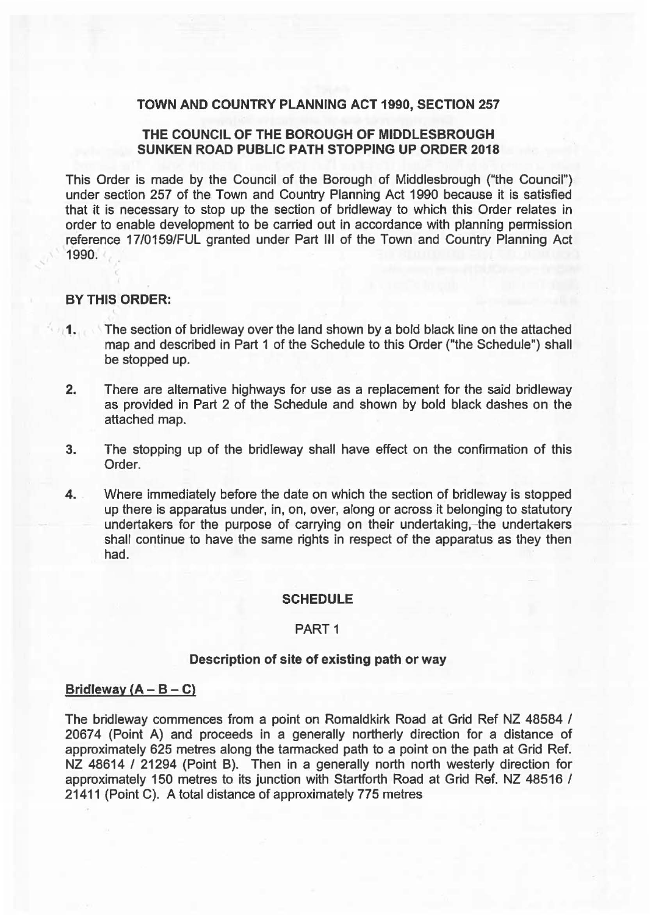## TOWN AND COUNTRY PLANNING ACT 1990, SECTION 257

# THE COUNCIL OF THE BOROUGH OF MIDDLESBROUGH SUNKEN ROAD PUBLIC PATH STOPPING UP ORDER 2018

This Order is made by the Council of the Borough of Middlesbrough ("the Council'') under section 257 of the Town and Country Planning Act 1990 because it is satisfied that it is necessary to stop up the section of bridleway to which this Order relates in order to enable development to be carried out in accordance with planning permission reference 17/0159/FUL granted under Part Ill of the Town and Country Planning Act 1990.

# BY THIS ORDER:

- 1. The section of bridleway over the land shown by a bold black line on the attached map and described in Part 1 of the Schedule to this Order ("the Schedule") shall be stopped up.
- 2. There are alternative highways for use as a replacement for the said bridleway as provided in Part 2 of the Schedule and shown by bold black dashes on the attached map.
- 3. The stopping up of the bridleway shall have effect on the confirmation of this Order.
- 4. Where immediately before the date on which the section of bridleway is stopped up there is apparatus under, in, on, over, along or across it belonging to statutory undertakers for the purpose of carrying on their undertaking,- the undertakers shall continue to have the same rights in respect of the apparatus as they then had.

#### SCHEDULE

#### PART<sub>1</sub>

### Description of site of existing path or way

## Bridleway  $(A - B - C)$

The bridleway commences from a point on Romaldkirk Road at Grid Ref NZ 48584 / 20674 (Point A) and proceeds in a generally northerly direction for a distance of approximately 625 metres along the tarmacked path to a point on the path at Grid Ref. NZ 48614 / 21294 (Point B). Then in a generally north north westerly direction for approximately 150 metres to its junction with Startforth Road at Grid Ref. NZ 48516 I 21411 (Point C). A total distance of approximately 775 metres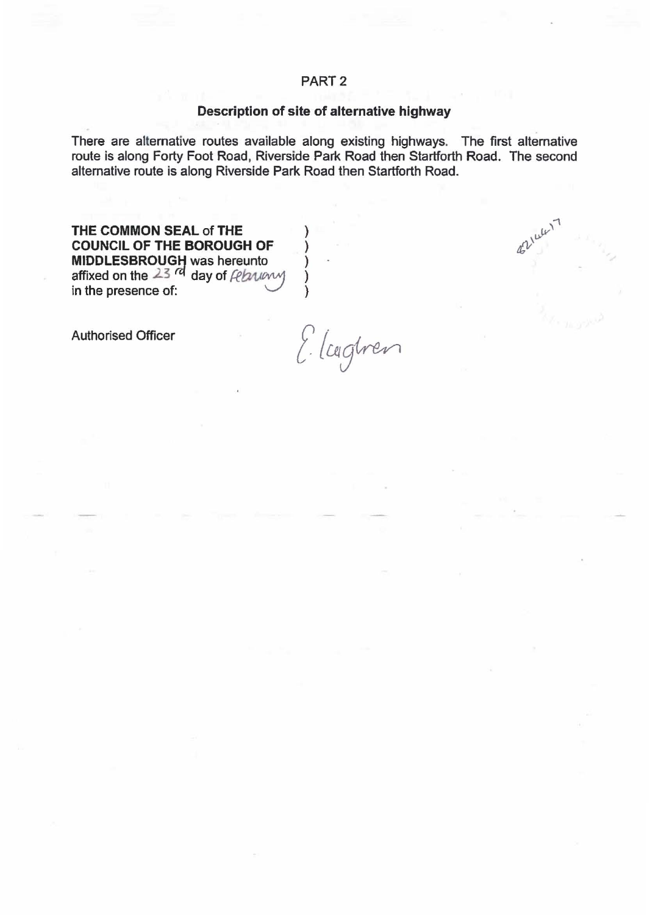# Description of site of alternative highway

There are alternative routes available along existing highways. The first alternative route is along Forty Foot Road, Riverside Park Road then Startforth Road. The second alternative route is along Riverside Park Road then Startforth Road.

THE COMMON SEAL of THE COUNCIL OF THE BOROUGH OF  $\bigcirc$ MIDDLESBROUGH was hereunto (a) affixed on the  $23$  <sup>rd</sup> day of  $\ell$ ebuny )

in the presence of:  $\vee$  )

Authorised Officer

Elcegtren

 $\mu^{\mu\nu}$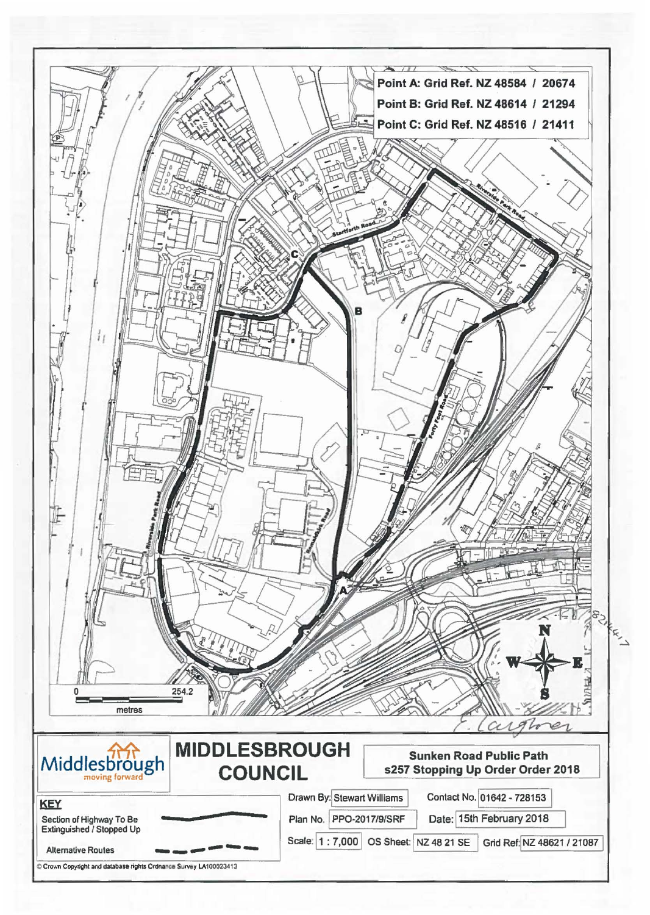